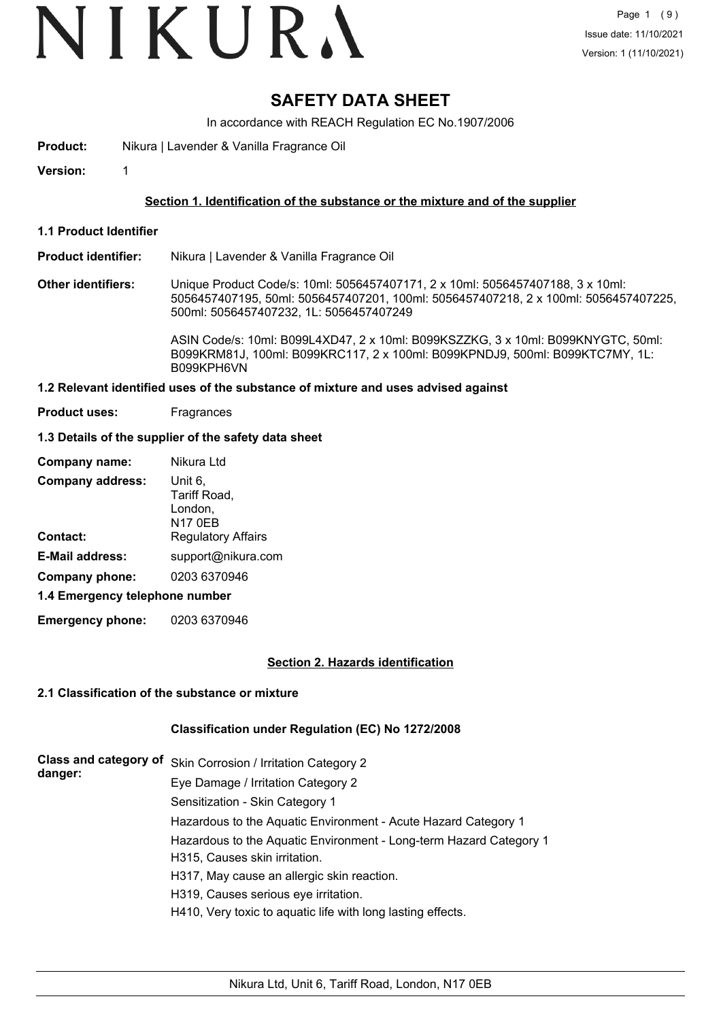## VIKURA

### **SAFETY DATA SHEET**

In accordance with REACH Regulation EC No.1907/2006

**Product:** Nikura | Lavender & Vanilla Fragrance Oil

**Version:** 1

#### **Section 1. Identification of the substance or the mixture and of the supplier**

**1.1 Product Identifier**

#### **Product identifier:** Nikura | Lavender & Vanilla Fragrance Oil

**Other identifiers:** Unique Product Code/s: 10ml: 5056457407171, 2 x 10ml: 5056457407188, 3 x 10ml: 5056457407195, 50ml: 5056457407201, 100ml: 5056457407218, 2 x 100ml: 5056457407225, 500ml: 5056457407232, 1L: 5056457407249

> ASIN Code/s: 10ml: B099L4XD47, 2 x 10ml: B099KSZZKG, 3 x 10ml: B099KNYGTC, 50ml: B099KRM81J, 100ml: B099KRC117, 2 x 100ml: B099KPNDJ9, 500ml: B099KTC7MY, 1L: B099KPH6VN

#### **1.2 Relevant identified uses of the substance of mixture and uses advised against**

**Product uses:** Fragrances

#### **1.3 Details of the supplier of the safety data sheet**

| Company name:                  | Nikura Ltd                         |
|--------------------------------|------------------------------------|
| <b>Company address:</b>        | Unit 6,<br>Tariff Road,<br>London, |
|                                | <b>N17 0EB</b>                     |
| Contact:                       | <b>Regulatory Affairs</b>          |
| <b>E-Mail address:</b>         | support@nikura.com                 |
| Company phone:                 | 0203 6370946                       |
| 1.4 Emergency telephone number |                                    |

**Emergency phone:** 0203 6370946

#### **Section 2. Hazards identification**

#### **2.1 Classification of the substance or mixture**

#### **Classification under Regulation (EC) No 1272/2008**

| <b>Class and category of</b><br>danger: | Skin Corrosion / Irritation Category 2                             |
|-----------------------------------------|--------------------------------------------------------------------|
|                                         | Eye Damage / Irritation Category 2                                 |
|                                         | Sensitization - Skin Category 1                                    |
|                                         | Hazardous to the Aquatic Environment - Acute Hazard Category 1     |
|                                         | Hazardous to the Aquatic Environment - Long-term Hazard Category 1 |
|                                         | H315, Causes skin irritation.                                      |
|                                         | H317, May cause an allergic skin reaction.                         |
|                                         | H319, Causes serious eye irritation.                               |
|                                         | H410, Very toxic to aquatic life with long lasting effects.        |
|                                         |                                                                    |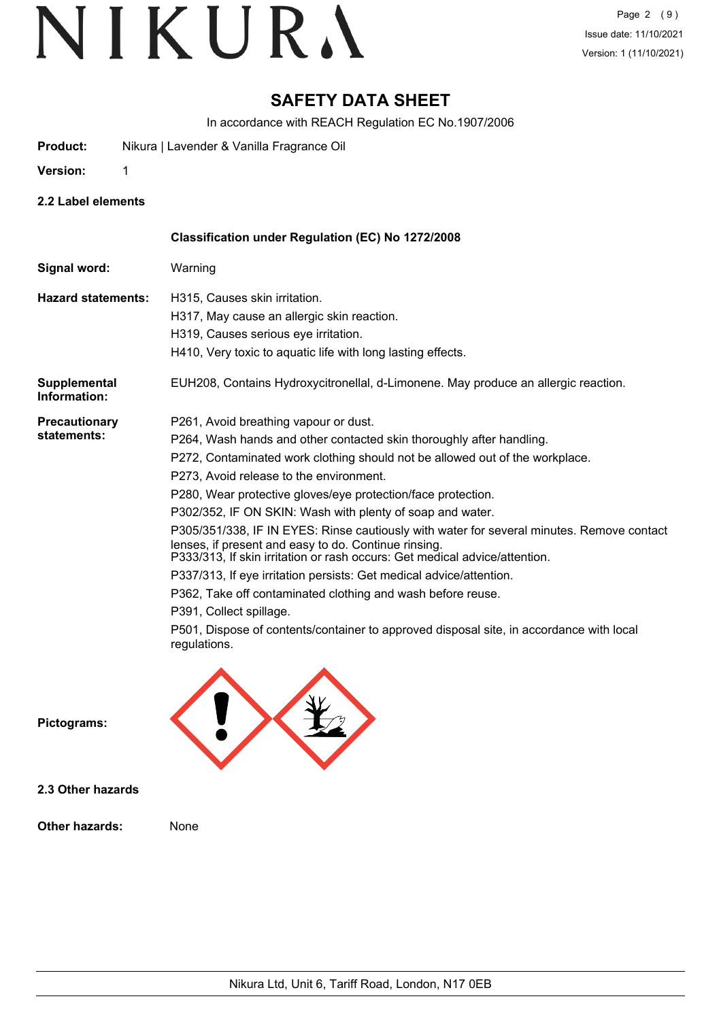### **SAFETY DATA SHEET**

In accordance with REACH Regulation EC No.1907/2006

**Product:** Nikura | Lavender & Vanilla Fragrance Oil

**Version:** 1

**2.2 Label elements**

|                              | Classification under Regulation (EC) No 1272/2008                                                                                                                                                                               |
|------------------------------|---------------------------------------------------------------------------------------------------------------------------------------------------------------------------------------------------------------------------------|
| Signal word:                 | Warning                                                                                                                                                                                                                         |
| <b>Hazard statements:</b>    | H315, Causes skin irritation.                                                                                                                                                                                                   |
|                              | H317, May cause an allergic skin reaction.                                                                                                                                                                                      |
|                              | H319, Causes serious eye irritation.                                                                                                                                                                                            |
|                              | H410, Very toxic to aquatic life with long lasting effects.                                                                                                                                                                     |
| Supplemental<br>Information: | EUH208, Contains Hydroxycitronellal, d-Limonene. May produce an allergic reaction.                                                                                                                                              |
| <b>Precautionary</b>         | P261, Avoid breathing vapour or dust.                                                                                                                                                                                           |
| statements:                  | P264, Wash hands and other contacted skin thoroughly after handling.                                                                                                                                                            |
|                              | P272, Contaminated work clothing should not be allowed out of the workplace.                                                                                                                                                    |
|                              | P273, Avoid release to the environment.                                                                                                                                                                                         |
|                              | P280, Wear protective gloves/eye protection/face protection.                                                                                                                                                                    |
|                              | P302/352, IF ON SKIN: Wash with plenty of soap and water.                                                                                                                                                                       |
|                              | P305/351/338, IF IN EYES: Rinse cautiously with water for several minutes. Remove contact<br>lenses, if present and easy to do. Continue rinsing.<br>P333/313, If skin irritation or rash occurs: Get medical advice/attention. |
|                              | P337/313, If eye irritation persists: Get medical advice/attention.                                                                                                                                                             |
|                              | P362, Take off contaminated clothing and wash before reuse.                                                                                                                                                                     |
|                              | P391, Collect spillage.                                                                                                                                                                                                         |
|                              | P501, Dispose of contents/container to approved disposal site, in accordance with local<br>regulations.                                                                                                                         |
| Pictograms:                  |                                                                                                                                                                                                                                 |

**Pictograms:**

**2.3 Other hazards**

**Other hazards:** None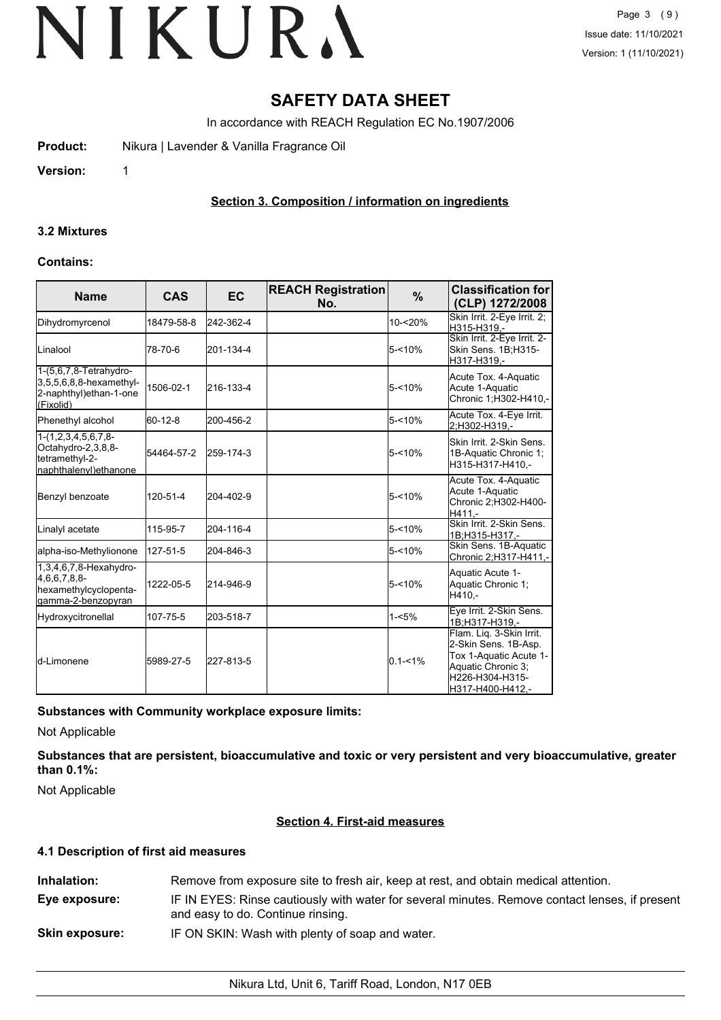### **SAFETY DATA SHEET**

In accordance with REACH Regulation EC No.1907/2006

**Product:** Nikura | Lavender & Vanilla Fragrance Oil

**Version:** 1

#### **Section 3. Composition / information on ingredients**

#### **3.2 Mixtures**

#### **Contains:**

| <b>Name</b>                                                                                 | <b>CAS</b> | <b>EC</b> | <b>REACH Registration</b><br>No. | %           | <b>Classification for</b><br>(CLP) 1272/2008                                                                                            |
|---------------------------------------------------------------------------------------------|------------|-----------|----------------------------------|-------------|-----------------------------------------------------------------------------------------------------------------------------------------|
| Dihydromyrcenol                                                                             | 18479-58-8 | 242-362-4 |                                  | 10-<20%     | Skin Irrit. 2-Eye Irrit. 2;<br>H315-H319.-                                                                                              |
| Linalool                                                                                    | 78-70-6    | 201-134-4 |                                  | $5 - 10%$   | Skin Irrit. 2-Eye Irrit. 2-<br>Skin Sens. 1B;H315-<br>H317-H319,-                                                                       |
| 1-(5,6,7,8-Tetrahydro-<br>$3,5,5,6,8,8$ -hexamethyl-<br>2-naphthyl)ethan-1-one<br>(Fixolid) | 1506-02-1  | 216-133-4 |                                  | $5 - 10%$   | Acute Tox. 4-Aquatic<br>Acute 1-Aquatic<br>Chronic 1;H302-H410,-                                                                        |
| Phenethyl alcohol                                                                           | 60-12-8    | 200-456-2 |                                  | $5 - 10%$   | Acute Tox. 4-Eye Irrit.<br>2:H302-H319.-                                                                                                |
| $1-(1,2,3,4,5,6,7,8-$<br>Octahydro-2,3,8,8-<br>tetramethyl-2-<br>naphthalenyl)ethanone      | 54464-57-2 | 259-174-3 |                                  | $5 - 10%$   | Skin Irrit, 2-Skin Sens.<br>1B-Aquatic Chronic 1;<br>H315-H317-H410,-                                                                   |
| Benzyl benzoate                                                                             | 120-51-4   | 204-402-9 |                                  | 5-<10%      | Acute Tox. 4-Aquatic<br>Acute 1-Aquatic<br>Chronic 2;H302-H400-<br>H411,-                                                               |
| Linalyl acetate                                                                             | 115-95-7   | 204-116-4 |                                  | $5 - 10%$   | Skin Irrit, 2-Skin Sens.<br>1B;H315-H317,-                                                                                              |
| alpha-iso-Methylionone                                                                      | 127-51-5   | 204-846-3 |                                  | $5 - 10%$   | Skin Sens. 1B-Aquatic<br>Chronic 2;H317-H411.-                                                                                          |
| 1,3,4,6,7,8-Hexahydro-<br>4,6,6,7,8,8-<br>hexamethylcyclopenta-<br>lgamma-2-benzopyran      | 1222-05-5  | 214-946-9 |                                  | $5 - 10%$   | Aquatic Acute 1-<br>Aquatic Chronic 1;<br>H410.-                                                                                        |
| Hydroxycitronellal                                                                          | 107-75-5   | 203-518-7 |                                  | $1 - 5%$    | Eye Irrit. 2-Skin Sens.<br>1B:H317-H319.-                                                                                               |
| <b>I</b> d-Limonene                                                                         | 5989-27-5  | 227-813-5 |                                  | $0.1 - 1\%$ | Flam. Lig. 3-Skin Irrit.<br>2-Skin Sens. 1B-Asp.<br>Tox 1-Aquatic Acute 1-<br>Aquatic Chronic 3;<br>H226-H304-H315-<br>H317-H400-H412,- |

#### **Substances with Community workplace exposure limits:**

Not Applicable

**Substances that are persistent, bioaccumulative and toxic or very persistent and very bioaccumulative, greater than 0.1%:**

Not Applicable

#### **Section 4. First-aid measures**

#### **4.1 Description of first aid measures**

| Inhalation:           | Remove from exposure site to fresh air, keep at rest, and obtain medical attention.                                                 |
|-----------------------|-------------------------------------------------------------------------------------------------------------------------------------|
| Eye exposure:         | IF IN EYES: Rinse cautiously with water for several minutes. Remove contact lenses, if present<br>and easy to do. Continue rinsing. |
| <b>Skin exposure:</b> | IF ON SKIN: Wash with plenty of soap and water.                                                                                     |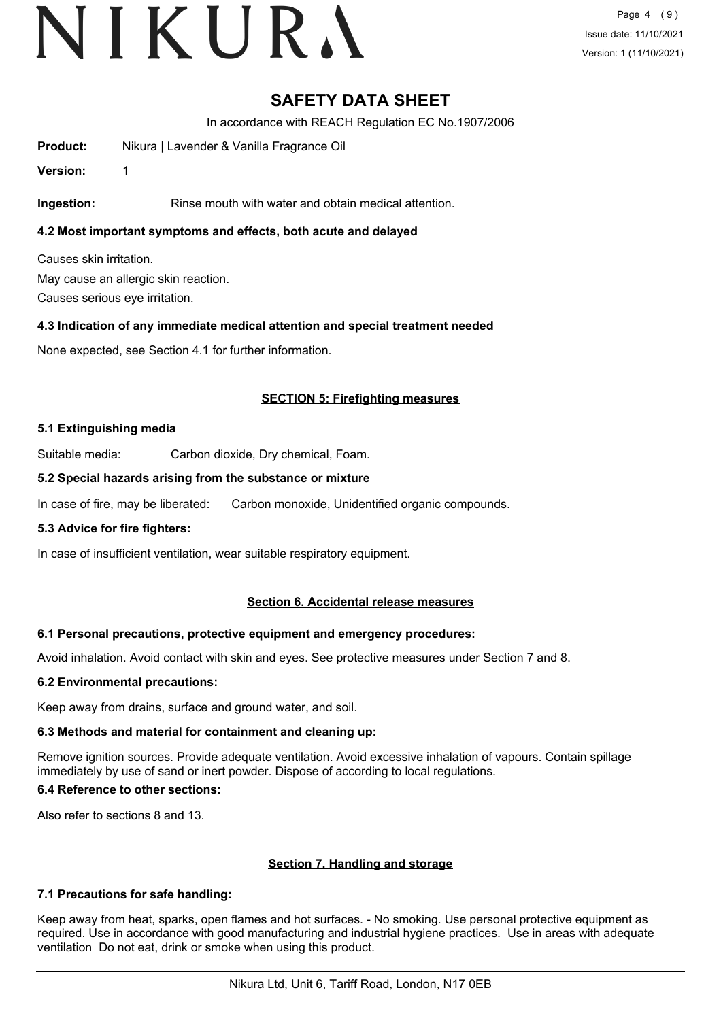## VIKURA

Page 4 (9) Issue date: 11/10/2021 Version: 1 (11/10/2021)

### **SAFETY DATA SHEET**

In accordance with REACH Regulation EC No.1907/2006

**Product:** Nikura | Lavender & Vanilla Fragrance Oil

**Version:** 1

**Ingestion:** Rinse mouth with water and obtain medical attention.

**4.2 Most important symptoms and effects, both acute and delayed**

Causes skin irritation. May cause an allergic skin reaction. Causes serious eye irritation.

#### **4.3 Indication of any immediate medical attention and special treatment needed**

None expected, see Section 4.1 for further information.

#### **SECTION 5: Firefighting measures**

#### **5.1 Extinguishing media**

Suitable media: Carbon dioxide, Dry chemical, Foam.

#### **5.2 Special hazards arising from the substance or mixture**

In case of fire, may be liberated: Carbon monoxide, Unidentified organic compounds.

#### **5.3 Advice for fire fighters:**

In case of insufficient ventilation, wear suitable respiratory equipment.

#### **Section 6. Accidental release measures**

#### **6.1 Personal precautions, protective equipment and emergency procedures:**

Avoid inhalation. Avoid contact with skin and eyes. See protective measures under Section 7 and 8.

#### **6.2 Environmental precautions:**

Keep away from drains, surface and ground water, and soil.

#### **6.3 Methods and material for containment and cleaning up:**

Remove ignition sources. Provide adequate ventilation. Avoid excessive inhalation of vapours. Contain spillage immediately by use of sand or inert powder. Dispose of according to local regulations.

#### **6.4 Reference to other sections:**

Also refer to sections 8 and 13.

#### **Section 7. Handling and storage**

#### **7.1 Precautions for safe handling:**

Keep away from heat, sparks, open flames and hot surfaces. - No smoking. Use personal protective equipment as required. Use in accordance with good manufacturing and industrial hygiene practices. Use in areas with adequate ventilation Do not eat, drink or smoke when using this product.

Nikura Ltd, Unit 6, Tariff Road, London, N17 0EB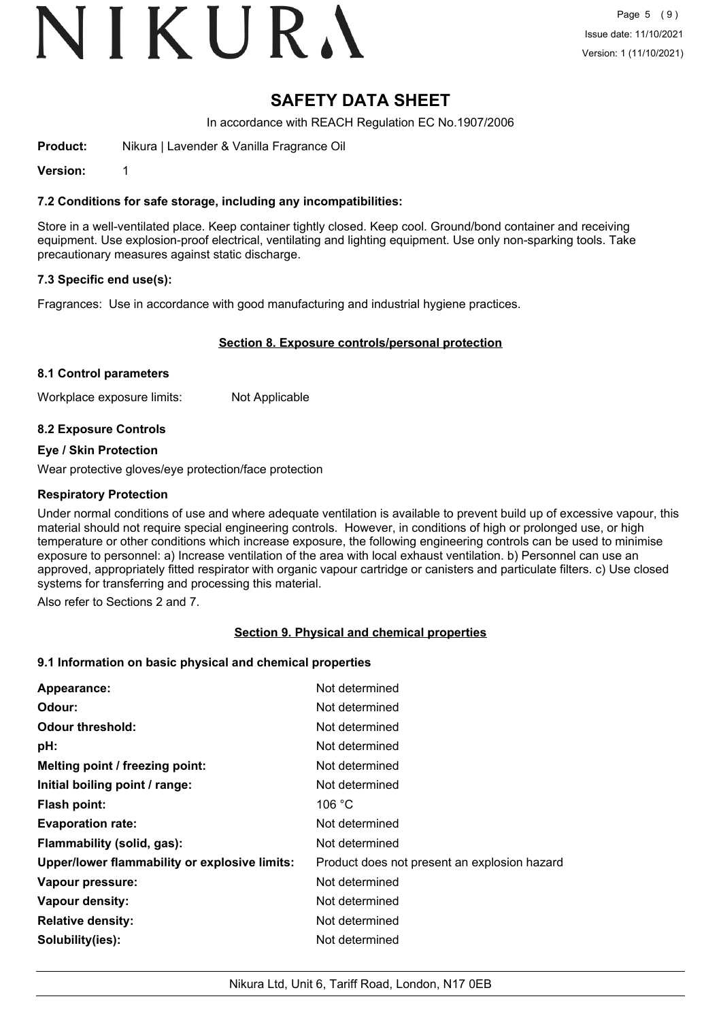# VIKURA

### **SAFETY DATA SHEET**

In accordance with REACH Regulation EC No.1907/2006

**Product:** Nikura | Lavender & Vanilla Fragrance Oil

**Version:** 1

#### **7.2 Conditions for safe storage, including any incompatibilities:**

Store in a well-ventilated place. Keep container tightly closed. Keep cool. Ground/bond container and receiving equipment. Use explosion-proof electrical, ventilating and lighting equipment. Use only non-sparking tools. Take precautionary measures against static discharge.

#### **7.3 Specific end use(s):**

Fragrances: Use in accordance with good manufacturing and industrial hygiene practices.

#### **Section 8. Exposure controls/personal protection**

#### **8.1 Control parameters**

Workplace exposure limits: Not Applicable

#### **8.2 Exposure Controls**

#### **Eye / Skin Protection**

Wear protective gloves/eye protection/face protection

#### **Respiratory Protection**

Under normal conditions of use and where adequate ventilation is available to prevent build up of excessive vapour, this material should not require special engineering controls. However, in conditions of high or prolonged use, or high temperature or other conditions which increase exposure, the following engineering controls can be used to minimise exposure to personnel: a) Increase ventilation of the area with local exhaust ventilation. b) Personnel can use an approved, appropriately fitted respirator with organic vapour cartridge or canisters and particulate filters. c) Use closed systems for transferring and processing this material.

Also refer to Sections 2 and 7.

#### **Section 9. Physical and chemical properties**

#### **9.1 Information on basic physical and chemical properties**

|                                               | Not determined                               |
|-----------------------------------------------|----------------------------------------------|
| Appearance:                                   |                                              |
| Odour:                                        | Not determined                               |
| <b>Odour threshold:</b>                       | Not determined                               |
| pH:                                           | Not determined                               |
| Melting point / freezing point:               | Not determined                               |
| Initial boiling point / range:                | Not determined                               |
| <b>Flash point:</b>                           | 106 $^{\circ}$ C                             |
| <b>Evaporation rate:</b>                      | Not determined                               |
| Flammability (solid, gas):                    | Not determined                               |
| Upper/lower flammability or explosive limits: | Product does not present an explosion hazard |
| Vapour pressure:                              | Not determined                               |
| Vapour density:                               | Not determined                               |
| <b>Relative density:</b>                      | Not determined                               |
| Solubility(ies):                              | Not determined                               |
|                                               |                                              |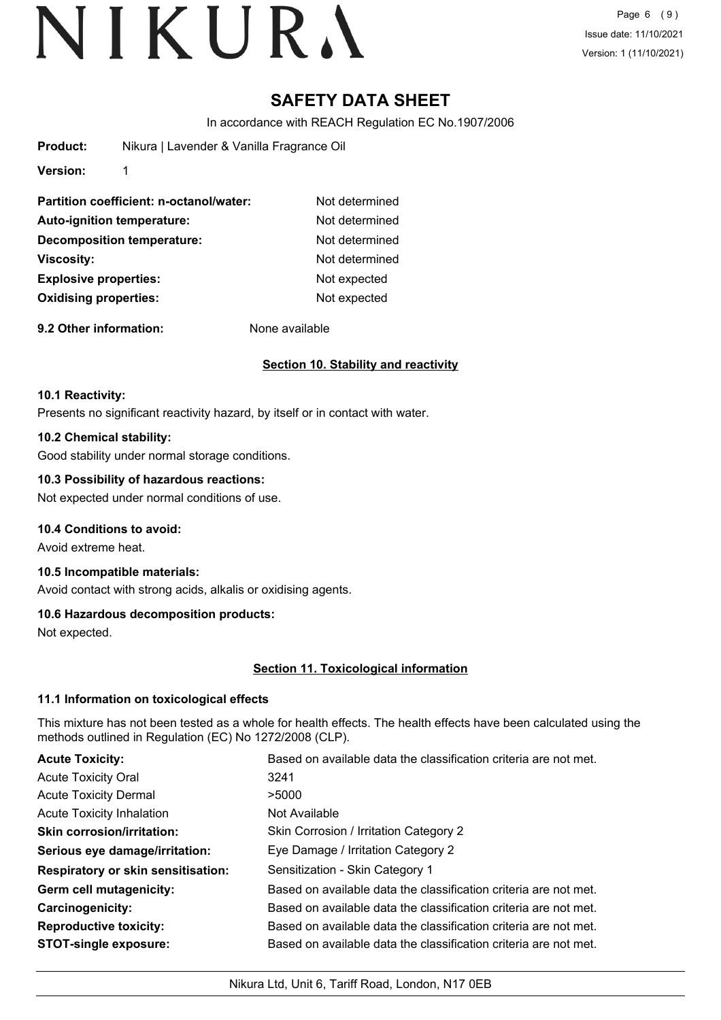Page 6 (9) Issue date: 11/10/2021 Version: 1 (11/10/2021)

### **SAFETY DATA SHEET**

In accordance with REACH Regulation EC No.1907/2006

| <b>Product:</b>              | Nikura   Lavender & Vanilla Fragrance Oil |                |
|------------------------------|-------------------------------------------|----------------|
| <b>Version:</b>              | 1                                         |                |
|                              | Partition coefficient: n-octanol/water:   | Not determined |
|                              | <b>Auto-ignition temperature:</b>         | Not determined |
| Decomposition temperature:   |                                           | Not determined |
| <b>Viscosity:</b>            |                                           | Not determined |
| <b>Explosive properties:</b> |                                           | Not expected   |
| <b>Oxidising properties:</b> |                                           | Not expected   |

**9.2 Other information:** None available

#### **Section 10. Stability and reactivity**

#### **10.1 Reactivity:**

Presents no significant reactivity hazard, by itself or in contact with water.

#### **10.2 Chemical stability:**

Good stability under normal storage conditions.

#### **10.3 Possibility of hazardous reactions:**

Not expected under normal conditions of use.

#### **10.4 Conditions to avoid:**

Avoid extreme heat.

### **10.5 Incompatible materials:**

Avoid contact with strong acids, alkalis or oxidising agents.

#### **10.6 Hazardous decomposition products:**

Not expected.

#### **Section 11. Toxicological information**

#### **11.1 Information on toxicological effects**

This mixture has not been tested as a whole for health effects. The health effects have been calculated using the methods outlined in Regulation (EC) No 1272/2008 (CLP).

| <b>Acute Toxicity:</b>                    | Based on available data the classification criteria are not met. |
|-------------------------------------------|------------------------------------------------------------------|
| <b>Acute Toxicity Oral</b>                | 3241                                                             |
| <b>Acute Toxicity Dermal</b>              | >5000                                                            |
| <b>Acute Toxicity Inhalation</b>          | Not Available                                                    |
| <b>Skin corrosion/irritation:</b>         | Skin Corrosion / Irritation Category 2                           |
| Serious eye damage/irritation:            | Eye Damage / Irritation Category 2                               |
| <b>Respiratory or skin sensitisation:</b> | Sensitization - Skin Category 1                                  |
| Germ cell mutagenicity:                   | Based on available data the classification criteria are not met. |
| <b>Carcinogenicity:</b>                   | Based on available data the classification criteria are not met. |
| <b>Reproductive toxicity:</b>             | Based on available data the classification criteria are not met. |
| <b>STOT-single exposure:</b>              | Based on available data the classification criteria are not met. |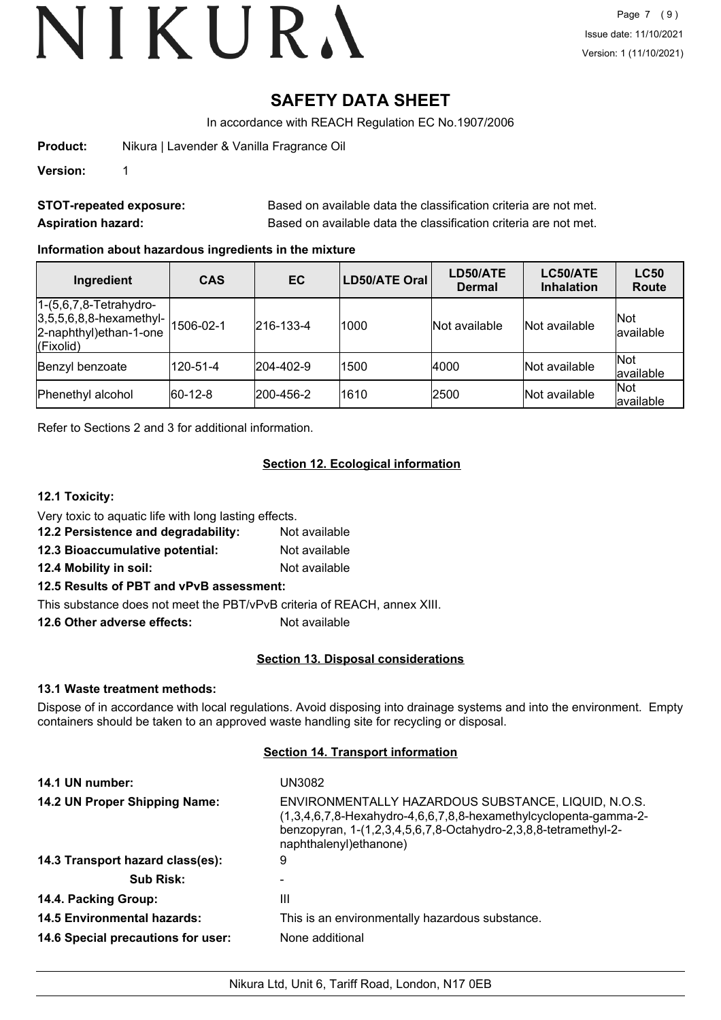## **SAFETY DATA SHEET**

In accordance with REACH Regulation EC No.1907/2006

**Product:** Nikura | Lavender & Vanilla Fragrance Oil

**Version:** 1

| <b>STOT-repeated exposure:</b> | Based on available data the classification criteria are not met. |
|--------------------------------|------------------------------------------------------------------|
| <b>Aspiration hazard:</b>      | Based on available data the classification criteria are not met. |

#### **Information about hazardous ingredients in the mixture**

| Ingredient                                                                                          | <b>CAS</b>  | EC        | LD50/ATE Oral | LD50/ATE<br><b>Dermal</b> | LC50/ATE<br><b>Inhalation</b> | <b>LC50</b><br><b>Route</b> |
|-----------------------------------------------------------------------------------------------------|-------------|-----------|---------------|---------------------------|-------------------------------|-----------------------------|
| $1-(5,6,7,8-Tetrahydro-$<br>$ 3,5,5,6,8,8$ -hexamethyl-<br>2-naphthyl) ethan-1-one<br>$ $ (Fixolid) | 1506-02-1   | 216-133-4 | 1000          | Not available             | Not available                 | <b>Not</b><br>lavailable    |
| Benzyl benzoate                                                                                     | 120-51-4    | 204-402-9 | 1500          | 4000                      | Not available                 | Not<br>available            |
| Phenethyl alcohol                                                                                   | $ 60-12-8 $ | 200-456-2 | 1610          | 2500                      | Not available                 | Not<br>available            |

Refer to Sections 2 and 3 for additional information.

#### **Section 12. Ecological information**

#### **12.1 Toxicity:**

Very toxic to aquatic life with long lasting effects.

- **12.2 Persistence and degradability:** Not available
- **12.3 Bioaccumulative potential:** Not available
- **12.4 Mobility in soil:** Not available

#### **12.5 Results of PBT and vPvB assessment:**

This substance does not meet the PBT/vPvB criteria of REACH, annex XIII.

**12.6 Other adverse effects:** Not available

#### **Section 13. Disposal considerations**

#### **13.1 Waste treatment methods:**

Dispose of in accordance with local regulations. Avoid disposing into drainage systems and into the environment. Empty containers should be taken to an approved waste handling site for recycling or disposal.

#### **Section 14. Transport information**

| 14.1 UN number:                    | UN3082                                                                                                                                                                                                                   |
|------------------------------------|--------------------------------------------------------------------------------------------------------------------------------------------------------------------------------------------------------------------------|
| 14.2 UN Proper Shipping Name:      | ENVIRONMENTALLY HAZARDOUS SUBSTANCE, LIQUID, N.O.S.<br>$(1,3,4,6,7,8$ -Hexahydro-4,6,6,7,8,8-hexamethylcyclopenta-gamma-2-<br>benzopyran, 1-(1,2,3,4,5,6,7,8-Octahydro-2,3,8,8-tetramethyl-2-<br>naphthalenyl) ethanone) |
| 14.3 Transport hazard class(es):   | 9                                                                                                                                                                                                                        |
| <b>Sub Risk:</b>                   |                                                                                                                                                                                                                          |
| 14.4. Packing Group:               | Ш                                                                                                                                                                                                                        |
| <b>14.5 Environmental hazards:</b> | This is an environmentally hazardous substance.                                                                                                                                                                          |
| 14.6 Special precautions for user: | None additional                                                                                                                                                                                                          |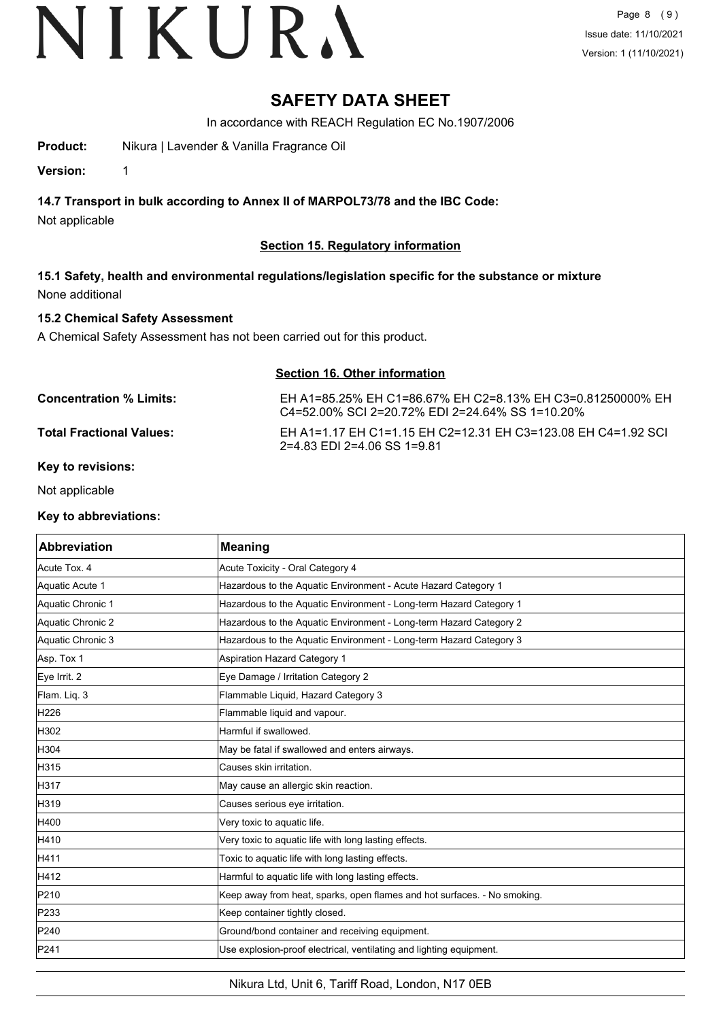### **SAFETY DATA SHEET**

In accordance with REACH Regulation EC No.1907/2006

**Product:** Nikura | Lavender & Vanilla Fragrance Oil

**Version:** 1

#### **14.7 Transport in bulk according to Annex II of MARPOL73/78 and the IBC Code:**

Not applicable

#### **Section 15. Regulatory information**

**15.1 Safety, health and environmental regulations/legislation specific for the substance or mixture** None additional

#### **15.2 Chemical Safety Assessment**

A Chemical Safety Assessment has not been carried out for this product.

| Section 16. Other information |                                                                                                               |  |
|-------------------------------|---------------------------------------------------------------------------------------------------------------|--|
| Concentration % Limits:       | EH A1=85.25% EH C1=86.67% EH C2=8.13% EH C3=0.81250000% EH<br>C4=52.00% SCI 2=20.72% EDI 2=24.64% SS 1=10.20% |  |
| Total Fractional Values:      | EH A1=1.17 EH C1=1.15 EH C2=12.31 EH C3=123.08 EH C4=1.92 SCI<br>2=4.83 EDI 2=4.06 SS 1=9.81                  |  |

**Section 16. Other information**

#### **Key to revisions:**

Not applicable

#### **Key to abbreviations:**

| Abbreviation      | <b>Meaning</b>                                                           |
|-------------------|--------------------------------------------------------------------------|
| Acute Tox. 4      | Acute Toxicity - Oral Category 4                                         |
| Aquatic Acute 1   | Hazardous to the Aquatic Environment - Acute Hazard Category 1           |
| Aquatic Chronic 1 | Hazardous to the Aquatic Environment - Long-term Hazard Category 1       |
| Aquatic Chronic 2 | Hazardous to the Aquatic Environment - Long-term Hazard Category 2       |
| Aquatic Chronic 3 | Hazardous to the Aquatic Environment - Long-term Hazard Category 3       |
| Asp. Tox 1        | <b>Aspiration Hazard Category 1</b>                                      |
| Eye Irrit. 2      | Eye Damage / Irritation Category 2                                       |
| Flam. Liq. 3      | Flammable Liquid, Hazard Category 3                                      |
| H226              | Flammable liquid and vapour.                                             |
| H302              | Harmful if swallowed.                                                    |
| H304              | May be fatal if swallowed and enters airways.                            |
| H315              | Causes skin irritation.                                                  |
| H317              | May cause an allergic skin reaction.                                     |
| H319              | Causes serious eye irritation.                                           |
| H400              | Very toxic to aquatic life.                                              |
| H410              | Very toxic to aquatic life with long lasting effects.                    |
| H411              | Toxic to aquatic life with long lasting effects.                         |
| H412              | Harmful to aquatic life with long lasting effects.                       |
| P210              | Keep away from heat, sparks, open flames and hot surfaces. - No smoking. |
| P233              | Keep container tightly closed.                                           |
| P240              | Ground/bond container and receiving equipment.                           |
| P241              | Use explosion-proof electrical, ventilating and lighting equipment.      |